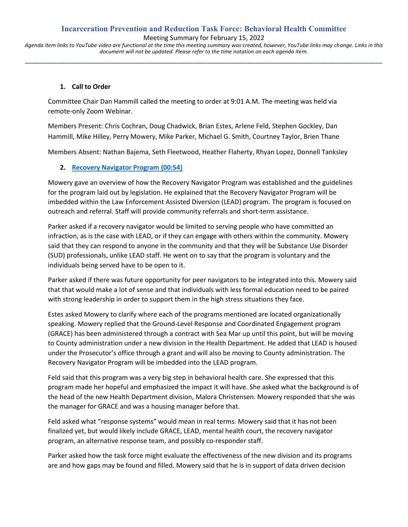# **Incarceration Prevention and Reduction Task Force: Behavioral Health Committee**

Meeting Summary for February 15, 2022

*Agenda item links to YouTube video are functional at the time this meeting summary was created, however, YouTube links may change. Links in this document will not be updated. Please refer to the time notation on each agenda item.* **\_\_\_\_\_\_\_\_\_\_\_\_\_\_\_\_\_\_\_\_\_\_\_\_\_\_\_\_\_\_\_\_\_\_\_\_\_\_\_\_\_\_\_\_\_\_\_\_\_\_\_\_\_\_\_\_\_\_\_\_\_\_\_\_\_\_\_\_\_\_\_\_\_\_\_\_\_\_\_\_\_\_\_\_\_\_\_\_\_\_\_\_\_\_\_\_\_\_**

#### **1. Call to Order**

Committee Chair Dan Hammill called the meeting to order at 9:01 A.M. The meeting was held via remote-only Zoom Webinar.

Members Present: Chris Cochran, Doug Chadwick, Brian Estes, Arlene Feld, Stephen Gockley, Dan Hammill, Mike Hilley, Perry Mowery, Mike Parker, Michael G. Smith, Courtney Taylor, Brien Thane

Members Absent: Nathan Bajema, Seth Fleetwood, Heather Flaherty, Rhyan Lopez, Donnell Tanksley

## **2. [Recovery Navigator Program](https://www.youtube.com/watch?v=D_0Nc1rrF4Y&t=54s) (00:54)**

Mowery gave an overview of how the Recovery Navigator Program was established and the guidelines for the program laid out by legislation. He explained that the Recovery Navigator Program will be imbedded within the Law Enforcement Assisted Diversion (LEAD) program. The program is focused on outreach and referral. Staff will provide community referrals and short-term assistance.

Parker asked if a recovery navigator would be limited to serving people who have committed an infraction, as is the case with LEAD, or if they can engage with others within the community. Mowery said that they can respond to anyone in the community and that they will be Substance Use Disorder (SUD) professionals, unlike LEAD staff. He went on to say that the program is voluntary and the individuals being served have to be open to it.

Parker asked if there was future opportunity for peer navigators to be integrated into this. Mowery said that that would make a lot of sense and that individuals with less formal education need to be paired with strong leadership in order to support them in the high stress situations they face.

Estes asked Mowery to clarify where each of the programs mentioned are located organizationally speaking. Mowery replied that the Ground-Level Response and Coordinated Engagement program (GRACE) has been administered through a contract with Sea Mar up until this point, but will be moving to County administration under a new division in the Health Department. He added that LEAD is housed under the Prosecutor's office through a grant and will also be moving to County administration. The Recovery Navigator Program will be imbedded into the LEAD program.

Feld said that this program was a very big step in behavioral health care. She expressed that this program made her hopeful and emphasized the impact it will have. She asked what the background is of the head of the new Health Department division, Malora Christensen. Mowery responded that she was the manager for GRACE and was a housing manager before that.

Feld asked what "response systems" would mean in real terms. Mowery said that it has not been finalized yet, but would likely include GRACE, LEAD, mental health court, the recovery navigator program, an alternative response team, and possibly co-responder staff.

Parker asked how the task force might evaluate the effectiveness of the new division and its programs are and how gaps may be found and filled. Mowery said that he is in support of data driven decision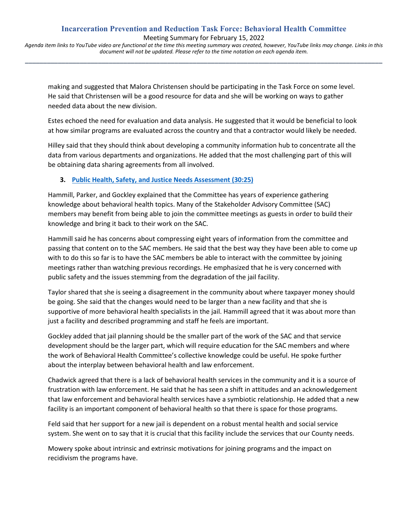*document will not be updated. Please refer to the time notation on each agenda item.* **\_\_\_\_\_\_\_\_\_\_\_\_\_\_\_\_\_\_\_\_\_\_\_\_\_\_\_\_\_\_\_\_\_\_\_\_\_\_\_\_\_\_\_\_\_\_\_\_\_\_\_\_\_\_\_\_\_\_\_\_\_\_\_\_\_\_\_\_\_\_\_\_\_\_\_\_\_\_\_\_\_\_\_\_\_\_\_\_\_\_\_\_\_\_\_\_\_\_**

making and suggested that Malora Christensen should be participating in the Task Force on some level. He said that Christensen will be a good resource for data and she will be working on ways to gather needed data about the new division.

Estes echoed the need for evaluation and data analysis. He suggested that it would be beneficial to look at how similar programs are evaluated across the country and that a contractor would likely be needed.

Hilley said that they should think about developing a community information hub to concentrate all the data from various departments and organizations. He added that the most challenging part of this will be obtaining data sharing agreements from all involved.

## **3. [Public Health, Safety, and Justice Needs Assessment](https://youtu.be/D_0Nc1rrF4Y?t=1824) (30:25)**

Hammill, Parker, and Gockley explained that the Committee has years of experience gathering knowledge about behavioral health topics. Many of the Stakeholder Advisory Committee (SAC) members may benefit from being able to join the committee meetings as guests in order to build their knowledge and bring it back to their work on the SAC.

Hammill said he has concerns about compressing eight years of information from the committee and passing that content on to the SAC members. He said that the best way they have been able to come up with to do this so far is to have the SAC members be able to interact with the committee by joining meetings rather than watching previous recordings. He emphasized that he is very concerned with public safety and the issues stemming from the degradation of the jail facility.

Taylor shared that she is seeing a disagreement in the community about where taxpayer money should be going. She said that the changes would need to be larger than a new facility and that she is supportive of more behavioral health specialists in the jail. Hammill agreed that it was about more than just a facility and described programming and staff he feels are important.

Gockley added that jail planning should be the smaller part of the work of the SAC and that service development should be the larger part, which will require education for the SAC members and where the work of Behavioral Health Committee's collective knowledge could be useful. He spoke further about the interplay between behavioral health and law enforcement.

Chadwick agreed that there is a lack of behavioral health services in the community and it is a source of frustration with law enforcement. He said that he has seen a shift in attitudes and an acknowledgement that law enforcement and behavioral health services have a symbiotic relationship. He added that a new facility is an important component of behavioral health so that there is space for those programs.

Feld said that her support for a new jail is dependent on a robust mental health and social service system. She went on to say that it is crucial that this facility include the services that our County needs.

Mowery spoke about intrinsic and extrinsic motivations for joining programs and the impact on recidivism the programs have.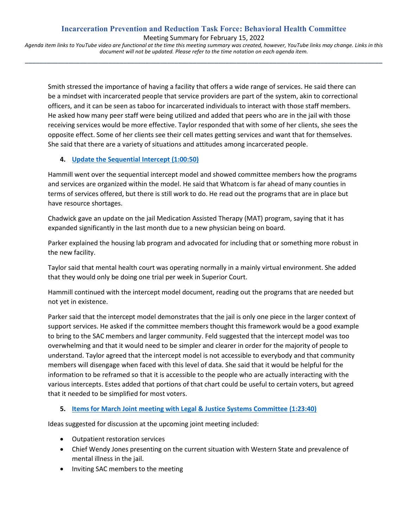## **Incarceration Prevention and Reduction Task Force: Behavioral Health Committee** Meeting Summary for February 15, 2022

*Agenda item links to YouTube video are functional at the time this meeting summary was created, however, YouTube links may change. Links in this document will not be updated. Please refer to the time notation on each agenda item.* **\_\_\_\_\_\_\_\_\_\_\_\_\_\_\_\_\_\_\_\_\_\_\_\_\_\_\_\_\_\_\_\_\_\_\_\_\_\_\_\_\_\_\_\_\_\_\_\_\_\_\_\_\_\_\_\_\_\_\_\_\_\_\_\_\_\_\_\_\_\_\_\_\_\_\_\_\_\_\_\_\_\_\_\_\_\_\_\_\_\_\_\_\_\_\_\_\_\_**

Smith stressed the importance of having a facility that offers a wide range of services. He said there can be a mindset with incarcerated people that service providers are part of the system, akin to correctional officers, and it can be seen as taboo for incarcerated individuals to interact with those staff members. He asked how many peer staff were being utilized and added that peers who are in the jail with those receiving services would be more effective. Taylor responded that with some of her clients, she sees the opposite effect. Some of her clients see their cell mates getting services and want that for themselves. She said that there are a variety of situations and attitudes among incarcerated people.

## **4. [Update the Sequential Intercept](https://www.youtube.com/watch?v=D_0Nc1rrF4Y&t=3650s) (1:00:50)**

Hammill went over the sequential intercept model and showed committee members how the programs and services are organized within the model. He said that Whatcom is far ahead of many counties in terms of services offered, but there is still work to do. He read out the programs that are in place but have resource shortages.

Chadwick gave an update on the jail Medication Assisted Therapy (MAT) program, saying that it has expanded significantly in the last month due to a new physician being on board.

Parker explained the housing lab program and advocated for including that or something more robust in the new facility.

Taylor said that mental health court was operating normally in a mainly virtual environment. She added that they would only be doing one trial per week in Superior Court.

Hammill continued with the intercept model document, reading out the programs that are needed but not yet in existence.

Parker said that the intercept model demonstrates that the jail is only one piece in the larger context of support services. He asked if the committee members thought this framework would be a good example to bring to the SAC members and larger community. Feld suggested that the intercept model was too overwhelming and that it would need to be simpler and clearer in order for the majority of people to understand. Taylor agreed that the intercept model is not accessible to everybody and that community members will disengage when faced with this level of data. She said that it would be helpful for the information to be reframed so that it is accessible to the people who are actually interacting with the various intercepts. Estes added that portions of that chart could be useful to certain voters, but agreed that it needed to be simplified for most voters.

#### **5. [Items for March Joint meeting with Legal & Justice Systems Committee](https://youtu.be/D_0Nc1rrF4Y?t=5020) (1:23:40)**

Ideas suggested for discussion at the upcoming joint meeting included:

- Outpatient restoration services
- Chief Wendy Jones presenting on the current situation with Western State and prevalence of mental illness in the jail.
- Inviting SAC members to the meeting